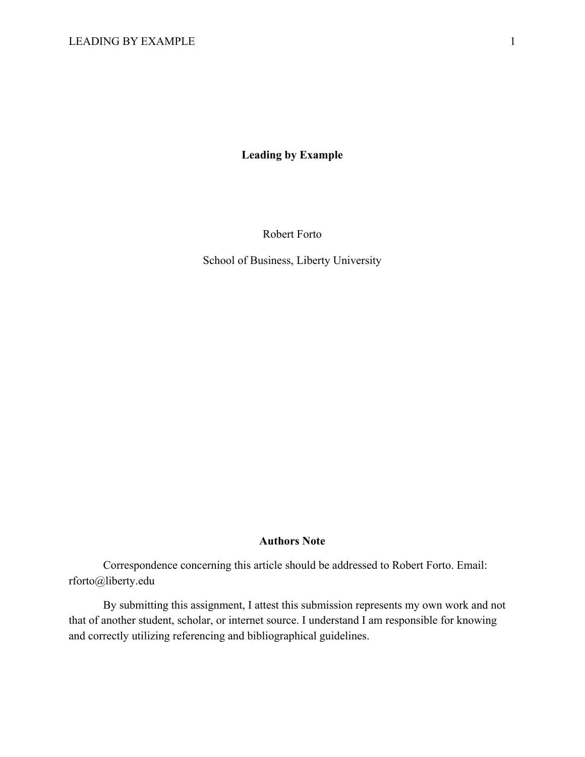**Leading by Example**

Robert Forto

School of Business, Liberty University

#### **Authors Note**

Correspondence concerning this article should be addressed to Robert Forto. Email: rforto@liberty.edu

By submitting this assignment, I attest this submission represents my own work and not that of another student, scholar, or internet source. I understand I am responsible for knowing and correctly utilizing referencing and bibliographical guidelines.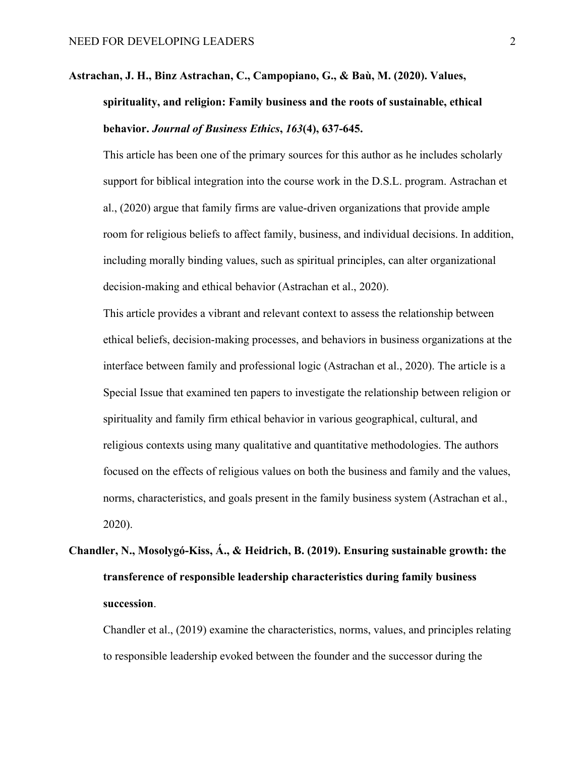### **Astrachan, J. H., Binz Astrachan, C., Campopiano, G., & Baù, M. (2020). Values, spirituality, and religion: Family business and the roots of sustainable, ethical behavior.** *Journal of Business Ethics***,** *163***(4), 637-645.**

This article has been one of the primary sources for this author as he includes scholarly support for biblical integration into the course work in the D.S.L. program. Astrachan et al., (2020) argue that family firms are value-driven organizations that provide ample room for religious beliefs to affect family, business, and individual decisions. In addition, including morally binding values, such as spiritual principles, can alter organizational decision-making and ethical behavior (Astrachan et al., 2020).

This article provides a vibrant and relevant context to assess the relationship between ethical beliefs, decision-making processes, and behaviors in business organizations at the interface between family and professional logic (Astrachan et al., 2020). The article is a Special Issue that examined ten papers to investigate the relationship between religion or spirituality and family firm ethical behavior in various geographical, cultural, and religious contexts using many qualitative and quantitative methodologies. The authors focused on the effects of religious values on both the business and family and the values, norms, characteristics, and goals present in the family business system (Astrachan et al., 2020).

# **Chandler, N., Mosolygó-Kiss, Á., & Heidrich, B. (2019). Ensuring sustainable growth: the transference of responsible leadership characteristics during family business succession**.

Chandler et al., (2019) examine the characteristics, norms, values, and principles relating to responsible leadership evoked between the founder and the successor during the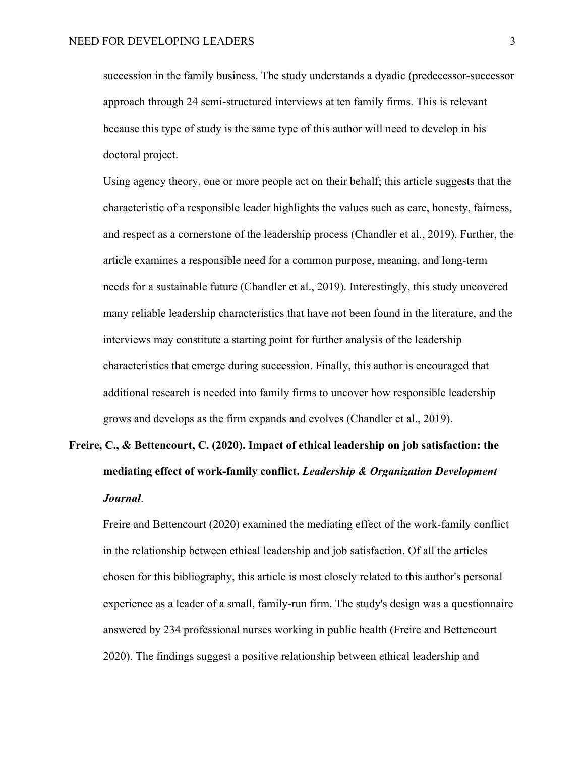succession in the family business. The study understands a dyadic (predecessor-successor approach through 24 semi-structured interviews at ten family firms. This is relevant because this type of study is the same type of this author will need to develop in his doctoral project.

Using agency theory, one or more people act on their behalf; this article suggests that the characteristic of a responsible leader highlights the values such as care, honesty, fairness, and respect as a cornerstone of the leadership process (Chandler et al., 2019). Further, the article examines a responsible need for a common purpose, meaning, and long-term needs for a sustainable future (Chandler et al., 2019). Interestingly, this study uncovered many reliable leadership characteristics that have not been found in the literature, and the interviews may constitute a starting point for further analysis of the leadership characteristics that emerge during succession. Finally, this author is encouraged that additional research is needed into family firms to uncover how responsible leadership grows and develops as the firm expands and evolves (Chandler et al., 2019).

### **Freire, C., & Bettencourt, C. (2020). Impact of ethical leadership on job satisfaction: the mediating effect of work-family conflict.** *Leadership & Organization Development Journal*.

Freire and Bettencourt (2020) examined the mediating effect of the work-family conflict in the relationship between ethical leadership and job satisfaction. Of all the articles chosen for this bibliography, this article is most closely related to this author's personal experience as a leader of a small, family-run firm. The study's design was a questionnaire answered by 234 professional nurses working in public health (Freire and Bettencourt 2020). The findings suggest a positive relationship between ethical leadership and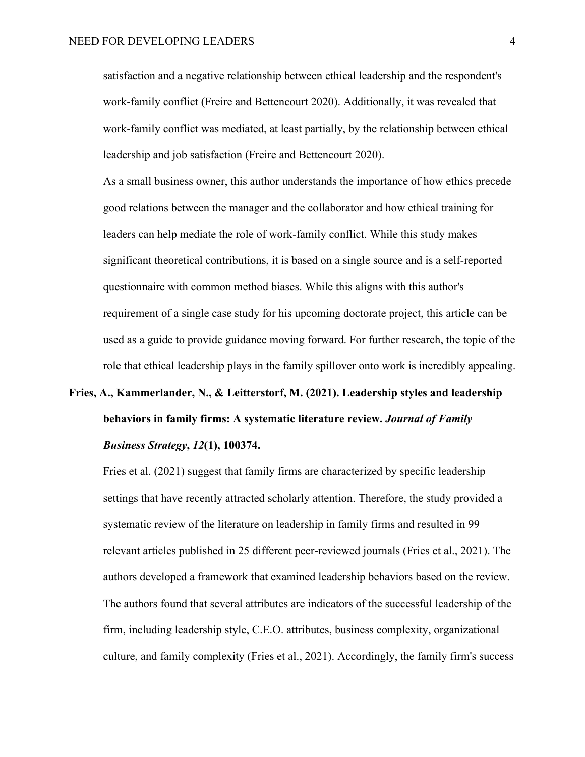satisfaction and a negative relationship between ethical leadership and the respondent's work-family conflict (Freire and Bettencourt 2020). Additionally, it was revealed that work-family conflict was mediated, at least partially, by the relationship between ethical leadership and job satisfaction (Freire and Bettencourt 2020).

As a small business owner, this author understands the importance of how ethics precede good relations between the manager and the collaborator and how ethical training for leaders can help mediate the role of work-family conflict. While this study makes significant theoretical contributions, it is based on a single source and is a self-reported questionnaire with common method biases. While this aligns with this author's requirement of a single case study for his upcoming doctorate project, this article can be used as a guide to provide guidance moving forward. For further research, the topic of the role that ethical leadership plays in the family spillover onto work is incredibly appealing.

## **Fries, A., Kammerlander, N., & Leitterstorf, M. (2021). Leadership styles and leadership behaviors in family firms: A systematic literature review.** *Journal of Family Business Strategy***,** *12***(1), 100374.**

Fries et al. (2021) suggest that family firms are characterized by specific leadership settings that have recently attracted scholarly attention. Therefore, the study provided a systematic review of the literature on leadership in family firms and resulted in 99 relevant articles published in 25 different peer-reviewed journals (Fries et al., 2021). The authors developed a framework that examined leadership behaviors based on the review. The authors found that several attributes are indicators of the successful leadership of the firm, including leadership style, C.E.O. attributes, business complexity, organizational culture, and family complexity (Fries et al., 2021). Accordingly, the family firm's success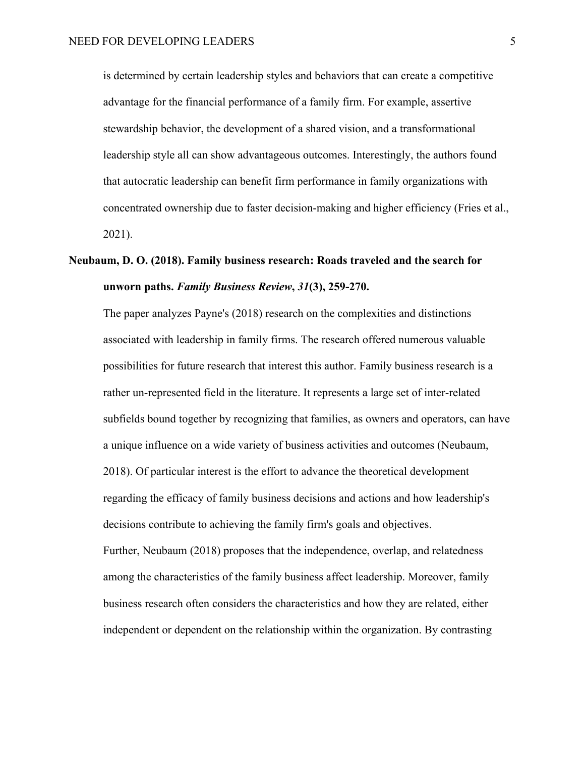is determined by certain leadership styles and behaviors that can create a competitive advantage for the financial performance of a family firm. For example, assertive stewardship behavior, the development of a shared vision, and a transformational leadership style all can show advantageous outcomes. Interestingly, the authors found that autocratic leadership can benefit firm performance in family organizations with concentrated ownership due to faster decision-making and higher efficiency (Fries et al., 2021).

#### **Neubaum, D. O. (2018). Family business research: Roads traveled and the search for unworn paths.** *Family Business Review***,** *31***(3), 259-270.**

The paper analyzes Payne's (2018) research on the complexities and distinctions associated with leadership in family firms. The research offered numerous valuable possibilities for future research that interest this author. Family business research is a rather un-represented field in the literature. It represents a large set of inter-related subfields bound together by recognizing that families, as owners and operators, can have a unique influence on a wide variety of business activities and outcomes (Neubaum, 2018). Of particular interest is the effort to advance the theoretical development regarding the efficacy of family business decisions and actions and how leadership's decisions contribute to achieving the family firm's goals and objectives. Further, Neubaum (2018) proposes that the independence, overlap, and relatedness among the characteristics of the family business affect leadership. Moreover, family business research often considers the characteristics and how they are related, either independent or dependent on the relationship within the organization. By contrasting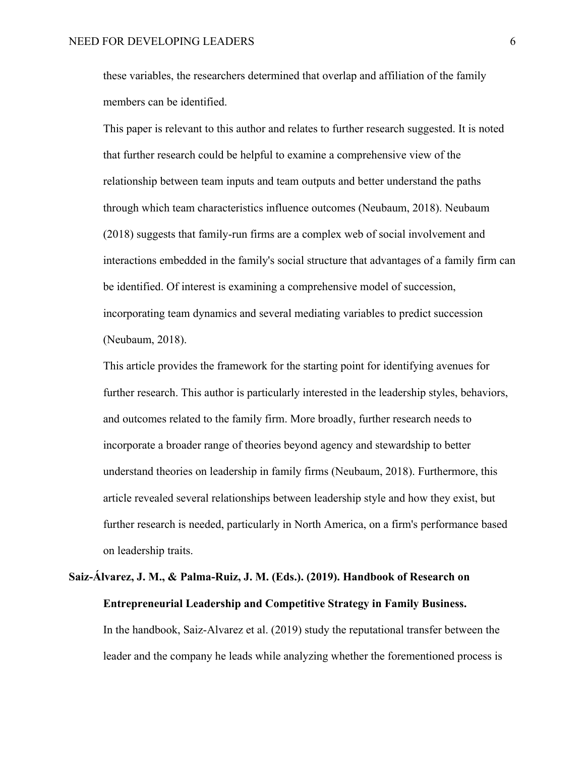these variables, the researchers determined that overlap and affiliation of the family members can be identified.

This paper is relevant to this author and relates to further research suggested. It is noted that further research could be helpful to examine a comprehensive view of the relationship between team inputs and team outputs and better understand the paths through which team characteristics influence outcomes (Neubaum, 2018). Neubaum (2018) suggests that family-run firms are a complex web of social involvement and interactions embedded in the family's social structure that advantages of a family firm can be identified. Of interest is examining a comprehensive model of succession, incorporating team dynamics and several mediating variables to predict succession (Neubaum, 2018).

This article provides the framework for the starting point for identifying avenues for further research. This author is particularly interested in the leadership styles, behaviors, and outcomes related to the family firm. More broadly, further research needs to incorporate a broader range of theories beyond agency and stewardship to better understand theories on leadership in family firms (Neubaum, 2018). Furthermore, this article revealed several relationships between leadership style and how they exist, but further research is needed, particularly in North America, on a firm's performance based on leadership traits.

## **Saiz-Álvarez, J. M., & Palma-Ruiz, J. M. (Eds.). (2019). Handbook of Research on Entrepreneurial Leadership and Competitive Strategy in Family Business.**

In the handbook, Saiz-Alvarez et al. (2019) study the reputational transfer between the leader and the company he leads while analyzing whether the forementioned process is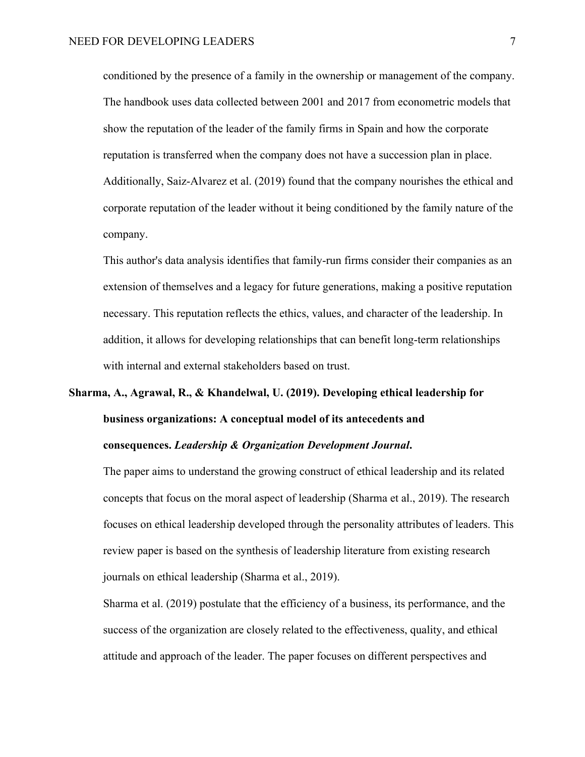conditioned by the presence of a family in the ownership or management of the company. The handbook uses data collected between 2001 and 2017 from econometric models that show the reputation of the leader of the family firms in Spain and how the corporate reputation is transferred when the company does not have a succession plan in place. Additionally, Saiz-Alvarez et al. (2019) found that the company nourishes the ethical and corporate reputation of the leader without it being conditioned by the family nature of the company.

This author's data analysis identifies that family-run firms consider their companies as an extension of themselves and a legacy for future generations, making a positive reputation necessary. This reputation reflects the ethics, values, and character of the leadership. In addition, it allows for developing relationships that can benefit long-term relationships with internal and external stakeholders based on trust.

# **Sharma, A., Agrawal, R., & Khandelwal, U. (2019). Developing ethical leadership for business organizations: A conceptual model of its antecedents and**

#### **consequences.** *Leadership & Organization Development Journal***.**

The paper aims to understand the growing construct of ethical leadership and its related concepts that focus on the moral aspect of leadership (Sharma et al., 2019). The research focuses on ethical leadership developed through the personality attributes of leaders. This review paper is based on the synthesis of leadership literature from existing research journals on ethical leadership (Sharma et al., 2019).

Sharma et al. (2019) postulate that the efficiency of a business, its performance, and the success of the organization are closely related to the effectiveness, quality, and ethical attitude and approach of the leader. The paper focuses on different perspectives and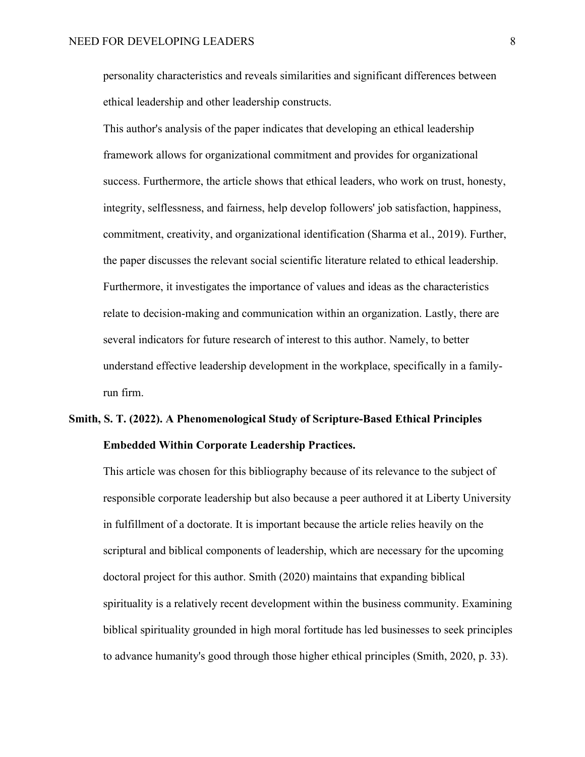personality characteristics and reveals similarities and significant differences between ethical leadership and other leadership constructs.

This author's analysis of the paper indicates that developing an ethical leadership framework allows for organizational commitment and provides for organizational success. Furthermore, the article shows that ethical leaders, who work on trust, honesty, integrity, selflessness, and fairness, help develop followers' job satisfaction, happiness, commitment, creativity, and organizational identification (Sharma et al., 2019). Further, the paper discusses the relevant social scientific literature related to ethical leadership. Furthermore, it investigates the importance of values and ideas as the characteristics relate to decision-making and communication within an organization. Lastly, there are several indicators for future research of interest to this author. Namely, to better understand effective leadership development in the workplace, specifically in a familyrun firm.

#### **Smith, S. T. (2022). A Phenomenological Study of Scripture-Based Ethical Principles Embedded Within Corporate Leadership Practices.**

This article was chosen for this bibliography because of its relevance to the subject of responsible corporate leadership but also because a peer authored it at Liberty University in fulfillment of a doctorate. It is important because the article relies heavily on the scriptural and biblical components of leadership, which are necessary for the upcoming doctoral project for this author. Smith (2020) maintains that expanding biblical spirituality is a relatively recent development within the business community. Examining biblical spirituality grounded in high moral fortitude has led businesses to seek principles to advance humanity's good through those higher ethical principles (Smith, 2020, p. 33).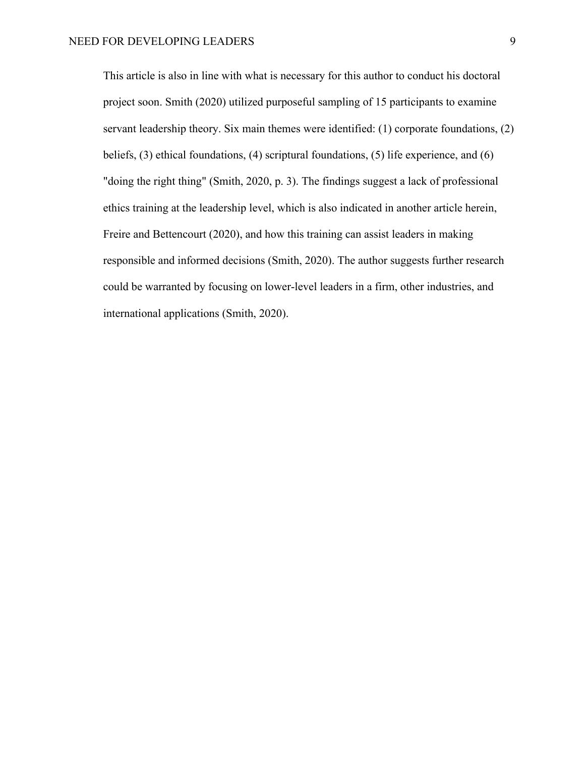This article is also in line with what is necessary for this author to conduct his doctoral project soon. Smith (2020) utilized purposeful sampling of 15 participants to examine servant leadership theory. Six main themes were identified: (1) corporate foundations, (2) beliefs, (3) ethical foundations, (4) scriptural foundations, (5) life experience, and (6) "doing the right thing" (Smith, 2020, p. 3). The findings suggest a lack of professional ethics training at the leadership level, which is also indicated in another article herein, Freire and Bettencourt (2020), and how this training can assist leaders in making responsible and informed decisions (Smith, 2020). The author suggests further research could be warranted by focusing on lower-level leaders in a firm, other industries, and international applications (Smith, 2020).